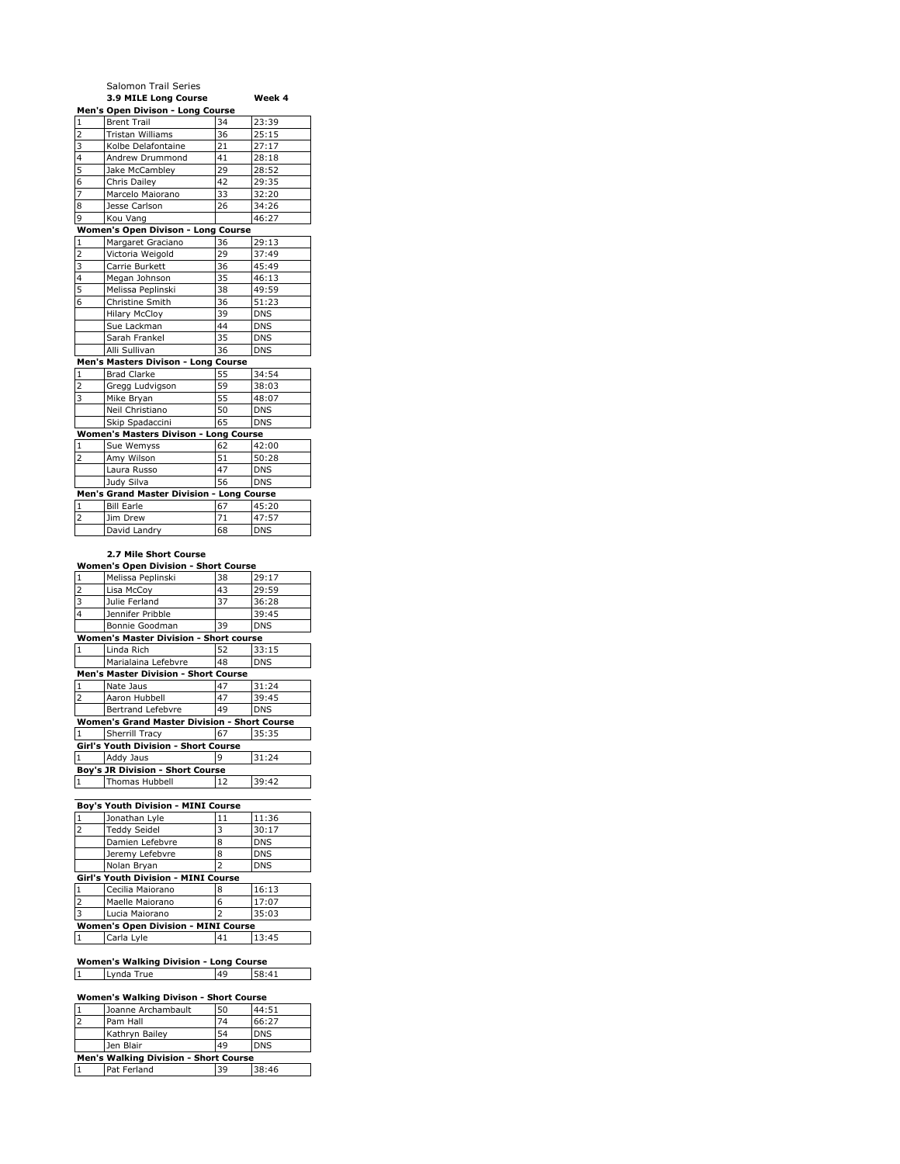|                         | Salomon Trail Series                      |    |            |
|-------------------------|-------------------------------------------|----|------------|
|                         | 3.9 MILE Long Course                      |    | Week 4     |
|                         | Men's Open Divison - Long Course          |    |            |
| $\mathbf{1}$            | <b>Brent Trail</b>                        | 34 | 23:39      |
| $\overline{\mathbf{c}}$ | <b>Tristan Williams</b>                   | 36 | 25:15      |
| 3                       | Kolbe Delafontaine                        | 21 | 27:17      |
| $\overline{4}$          | Andrew Drummond                           | 41 | 28:18      |
| 5                       | Jake McCambley                            | 29 | 28:52      |
| 6                       | Chris Dailey                              | 42 | 29:35      |
| $\overline{7}$          | Marcelo Maiorano                          | 33 | 32:20      |
| 8                       | Jesse Carlson                             | 26 | 34:26      |
| 9                       | Kou Vang                                  |    | 46:27      |
|                         | <b>Women's Open Divison - Long Course</b> |    |            |
| 1                       | Margaret Graciano                         | 36 | 29:13      |
| $\overline{2}$          | Victoria Weigold                          | 29 | 37:49      |
| 3                       | Carrie Burkett                            | 36 | 45:49      |
| $\overline{4}$          | Megan Johnson                             | 35 | 46:13      |
| 5                       | Melissa Peplinski                         | 38 | 49:59      |
| 6                       | Christine Smith                           | 36 | 51:23      |
|                         | <b>Hilary McCloy</b>                      | 39 | <b>DNS</b> |
|                         | Sue Lackman                               | 44 | <b>DNS</b> |
|                         | Sarah Frankel                             | 35 | <b>DNS</b> |
|                         | Alli Sullivan                             | 36 | <b>DNS</b> |
|                         | Men's Masters Divison - Long Course       |    |            |
| $\mathbf{1}$            | <b>Brad Clarke</b>                        | 55 | 34:54      |
| $\overline{2}$          | Gregg Ludvigson                           | 59 | 38:03      |
| $\overline{3}$          | Mike Bryan                                | 55 | 48:07      |
|                         | Neil Christiano                           | 50 | <b>DNS</b> |
|                         | Skip Spadaccini                           | 65 | <b>DNS</b> |
|                         | Women's Masters Divison - Long Course     |    |            |
| $\mathbf{1}$            | Sue Wemyss                                | 62 | 42:00      |
| $\overline{2}$          | Amy Wilson                                | 51 | 50:28      |
|                         | Laura Russo                               | 47 | <b>DNS</b> |
|                         | Judy Silva                                | 56 | <b>DNS</b> |
|                         | Men's Grand Master Division - Long Course |    |            |
| 1                       | <b>Bill Earle</b>                         | 67 | 45:20      |
| $\overline{2}$          | Jim Drew                                  | 71 | 47:57      |
|                         | David Landrv                              | 68 | <b>DNS</b> |

#### **2.7 Mile Short Course**

| <b>Women's Open Division - Short Course</b>         |                       |    |            |
|-----------------------------------------------------|-----------------------|----|------------|
| $\mathbf{1}$                                        | Melissa Peplinski     | 38 | 29:17      |
| $\overline{2}$                                      | Lisa McCoy            | 43 | 29:59      |
| $\overline{3}$                                      | Julie Ferland         | 37 | 36:28      |
| $\overline{4}$                                      | Jennifer Pribble      |    | 39:45      |
|                                                     | Bonnie Goodman        | 39 | <b>DNS</b> |
| <b>Women's Master Division - Short course</b>       |                       |    |            |
| $\mathbf{1}$                                        | Linda Rich            | 52 | 33:15      |
|                                                     | Marialaina Lefebvre   | 48 | <b>DNS</b> |
| <b>Men's Master Division - Short Course</b>         |                       |    |            |
| $\mathbf{1}$                                        | Nate Jaus             | 47 | 31:24      |
| $\overline{2}$                                      | Aaron Hubbell         | 47 | 39:45      |
|                                                     | Bertrand Lefebvre     | 49 | <b>DNS</b> |
| <b>Women's Grand Master Division - Short Course</b> |                       |    |            |
| $\mathbf{1}$                                        | <b>Sherrill Tracy</b> | 67 | 35:35      |
| Girl's Youth Division - Short Course                |                       |    |            |
| $\mathbf{1}$                                        | Addy Jaus             | q  | 31:24      |
| <b>Boy's JR Division - Short Course</b>             |                       |    |            |
| $\mathbf{1}$                                        | <b>Thomas Hubbell</b> | 12 | 39:42      |

#### **Boy's Youth Division - MINI Course**<br>
1 **Jonathan Lyle** 11 1 Jonathan Lyle 11 11:36<br>2 Teddy Seidel 3 30:17 11 Teddy Seidel 13 30:17<br>
2 Damien Lefebvre 18 DNS<br>
2 DNS Jeremy Lefebvre 18 DNS Damien Lefebvre 8 | DNS

| Jeremy Lefebvre                            | 8  | <b>DNS</b> |  |
|--------------------------------------------|----|------------|--|
| Nolan Bryan                                |    | <b>DNS</b> |  |
| Girl's Youth Division - MINI Course        |    |            |  |
| Cecilia Maiorano                           | 8  | 16:13      |  |
| Maelle Maiorano                            | 6  | 17:07      |  |
| Lucia Maiorano                             | っ  | 35:03      |  |
| <b>Women's Open Division - MINI Course</b> |    |            |  |
| Carla Lyle                                 | 41 | 13:45      |  |
|                                            |    |            |  |

# **Women's Walking Division - Long Course**

| True<br>vnda | AC | $. A +$<br>$\epsilon$ |
|--------------|----|-----------------------|
|              |    |                       |

## **Women's Walking Divison - Short Course**

|                                              | Joanne Archambault | 50 | 44:51      |
|----------------------------------------------|--------------------|----|------------|
|                                              | Pam Hall           | 74 | 66:27      |
|                                              | Kathryn Bailey     | 54 | <b>DNS</b> |
|                                              | Jen Blair          | 49 | <b>DNS</b> |
| <b>Men's Walking Division - Short Course</b> |                    |    |            |
| ا 1                                          | Pat Ferland        | 39 | 38:46      |